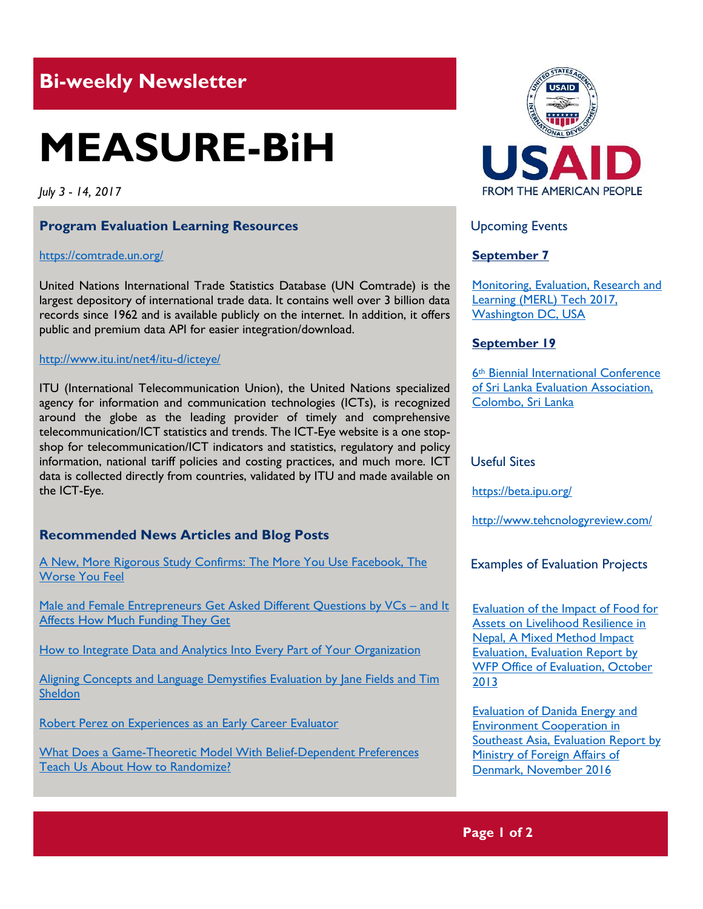# **Bi-weekly Newsletter**

# **MEASURE-BiH**

*July 3 - 14, 2017*

# **Program Evaluation Learning Resources**

#### <https://comtrade.un.org/>

United Nations International Trade Statistics Database (UN Comtrade) is the largest depository of international trade data. It contains well over 3 billion data records since 1962 and is available publicly on the internet. In addition, it offers public and premium data API for easier integration/download.

#### <http://www.itu.int/net4/itu-d/icteye/>

ITU (International Telecommunication Union), the United Nations specialized agency for information and communication technologies (ICTs), is recognized around the globe as the leading provider of timely and comprehensive telecommunication/ICT statistics and trends. The ICT-Eye website is a one stopshop for telecommunication/ICT indicators and statistics, regulatory and policy information, national tariff policies and costing practices, and much more. ICT data is collected directly from countries, validated by ITU and made available on the ICT-Eye.

# **Recommended News Articles and Blog Posts**

[A New, More Rigorous Study Confirms: The More You Use Facebook, The](https://hbr.org/2017/04/a-new-more-rigorous-study-confirms-the-more-you-use-facebook-the-worse-you-feel)  [Worse You Feel](https://hbr.org/2017/04/a-new-more-rigorous-study-confirms-the-more-you-use-facebook-the-worse-you-feel)

[Male and Female Entrepreneurs Get Asked Different Questions by VCs](https://hbr.org/2017/06/male-and-female-entrepreneurs-get-asked-different-questions-by-vcs-and-it-affects-how-much-funding-they-get) - and It [Affects How Much Funding They Get](https://hbr.org/2017/06/male-and-female-entrepreneurs-get-asked-different-questions-by-vcs-and-it-affects-how-much-funding-they-get)

[How to Integrate Data and Analytics Into Every Part of Your Organization](https://hbr.org/2017/06/how-to-integrate-data-and-analytics-into-every-part-of-your-organization)

Aligning Concepts and Language Demystifies Evaluation by Jane Fields and Tim **[Sheldon](http://aea365.org/blog/aligning-concepts-and-language-demystifies-evaluation-by-jane-fields-and-tim-sheldon/?utm_source=feedburner&utm_medium=feed&utm_campaign=Feed%3A+aea365+%28AEA365%29)** 

[Robert Perez on Experiences as an Early Career Evaluator](http://aea365.org/blog/ic-tig-week-robert-perez-on-experiences-as-an-early-career-evaluator/?utm_source=feedburner&utm_medium=feed&utm_campaign=Feed%3A+aea365+%28AEA365%29)

[What Does a Game-Theoretic Model With Belief-Dependent Preferences](https://blogs.worldbank.org/impactevaluations/what-does-game-theoretic-model-belief-dependent-preferences-teach-us-about-how-randomize)  [Teach Us About How to Randomize?](https://blogs.worldbank.org/impactevaluations/what-does-game-theoretic-model-belief-dependent-preferences-teach-us-about-how-randomize)



Upcoming Events

# **September 7**

[Monitoring, Evaluation, Research and](http://mande.co.uk/conferences/?event_id1=35)  [Learning \(MERL\) Tech 2017,](http://mande.co.uk/conferences/?event_id1=35)  [Washington DC, USA](http://mande.co.uk/conferences/?event_id1=35)

#### **September 19**

6th [Biennial International Conference](http://mande.co.uk/conferences/?event_id1=34)  [of Sri Lanka Evaluation Association,](http://mande.co.uk/conferences/?event_id1=34)  [Colombo, Sri Lanka](http://mande.co.uk/conferences/?event_id1=34)

#### Useful Sites

[https://b](https://euagencies.eu/)eta.ipu.org/

http://www.tehcnologyreview.com/

Examples of Evaluation Projects

[Evaluation of the Impact of Food for](http://documents.wfp.org/stellent/groups/public/documents/reports/wfp260362.pdf?_ga=2.263467020.1257213186.1500026069-356960094.1500026069)  [Assets on Livelihood Resilience in](http://documents.wfp.org/stellent/groups/public/documents/reports/wfp260362.pdf?_ga=2.263467020.1257213186.1500026069-356960094.1500026069)  [Nepal, A Mixed Method Impact](http://documents.wfp.org/stellent/groups/public/documents/reports/wfp260362.pdf?_ga=2.263467020.1257213186.1500026069-356960094.1500026069)  [Evaluation, Evaluation Report by](http://documents.wfp.org/stellent/groups/public/documents/reports/wfp260362.pdf?_ga=2.263467020.1257213186.1500026069-356960094.1500026069)  WFP Office of Evaluation, October [2013](http://documents.wfp.org/stellent/groups/public/documents/reports/wfp260362.pdf?_ga=2.263467020.1257213186.1500026069-356960094.1500026069)

[Evaluation of Danida Energy and](http://www.netpublikationer.dk/UM/evaluation_eec_southeast_asia/Pdf/evaluation_eec_southeast_asia.pdf)  [Environment Cooperation in](http://www.netpublikationer.dk/UM/evaluation_eec_southeast_asia/Pdf/evaluation_eec_southeast_asia.pdf)  [Southeast Asia, Evaluation Report by](http://www.netpublikationer.dk/UM/evaluation_eec_southeast_asia/Pdf/evaluation_eec_southeast_asia.pdf)  [Ministry of Foreign Affairs](http://www.netpublikationer.dk/UM/evaluation_eec_southeast_asia/Pdf/evaluation_eec_southeast_asia.pdf) of [Denmark, November 2016](http://www.netpublikationer.dk/UM/evaluation_eec_southeast_asia/Pdf/evaluation_eec_southeast_asia.pdf)

# **Page 1 of 2**